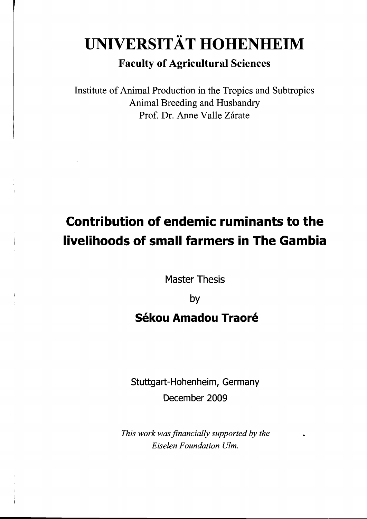# •• **UNIVERSITAT HOHENHEIM**

### **Faculty of Agricultural Sciences**

Institute of Animal Production in the Tropics and Subtropics Animal Breeding and Husbandry Prof. Dr. Anne Valle Zárate

 $\sim 10$ 

# **Contribution of endemie ruminants to the livelihoods of small farmers in The Gambia**

Master Thesis

by

## **Sékou Amadou Traoré**

Stuttgart-Hohenheim, Germany December 2009

*This work was financially supported by the Eiselen Foundation Ulm.*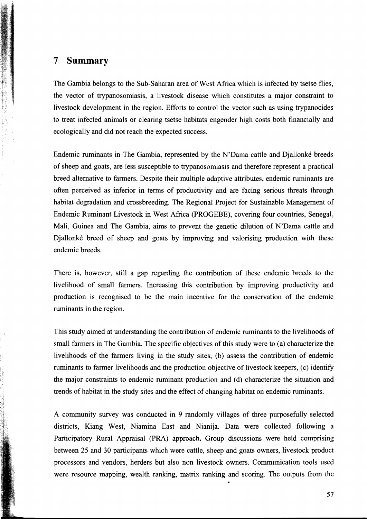#### **7 Summary**

The Gambia belongs to the Sub-Saharan area of West Africa which is infected by tsetse flies, the vector of trypanosomiasis, a livestock disease which constitutes a major constraint to livestock development in the region. Efforts to control the vector such as using trypanocides to treat infected animals or clearing tsetse habitats engender high eosts both finaneially and ecologically and did not reach the expected success.

Endemie ruminants in The Gambia, represented by the N'Dama eattle and Djallonke breeds of sheep and goats, are less suseeptible to trypanosomiasis and therefore represent a praetieal breed alternative to farmers. Despite their multiple adaptive attributes, endemie ruminants are often pereeived as inferior in terms of produetivity and are faeing serious threats through habitat degradation and erossbreeding. The Regional Projeet for Sustainable Management of Endemie Ruminant Livestock in West Afriea (PROGEBE), eovering four eountries, Senegal, Mali, Guinea and The Gambia, aims to prevent the genetic dilution of N'Dama eattle and Djallonke breed of sheep and goats by improving and valorising produetion with these endemie breeds.

There is, however, still a gap regarding the contribution of these endemic breeds to the livelihood of small farmers. Increasing this contribution by improving productivity and produetion is reeognised to be the main ineentive for the eonservation of the endemie ruminants in the region.

This study aimed at understanding the contribution of endemie ruminants to the livelihoods of small farmers in The Gambia. The specific objectives of this study were to (a) characterize the livelihoods of the farmers living in the study sites, (b) assess the eontribution of endemie ruminants to farmer livelihoods and the production objective of livestock keepers, (c) identify the major eonstraints to endemie ruminant produetion and (d) eharacterize the situation and trends of habitat in the study sites and the effeet of ehanging habitat on endemie ruminants.

A community survey was conducted in 9 randomly villages of three purposefully selected distriets, Kiang West, Niamina East and Nianija. Data were eolleeted following a Participatory Rural Appraisal (PRA) approach. Group discussions were held comprising between 25 and 30 partieipants whieh were eattle, sheep and goats owners, livestoek produet proeessors and vendors, herders but also non livestoek owners. Communieation tools used were resouree mapping, wealth ranking, matrix ranking and seoring. The outputs from the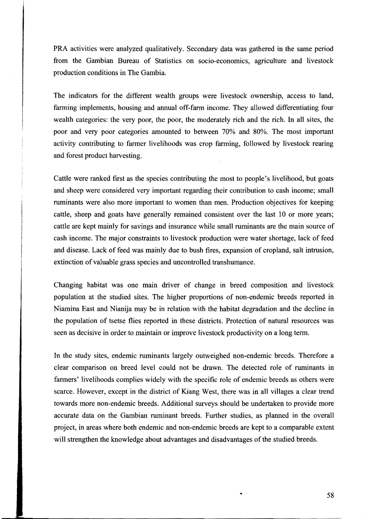PRA aetivities were analyzed qualitatively. Seeondary data was gathered in the same period from the Gambian Bureau of Statisties on soeio-eeonomies, agrieulture and livestoek produetion eonditions in The Gambia.

The indicators for the different wealth groups were livestock ownership, access to land, farming implements, housing and annual off-farm ineome. They allowed differentiating four wealth eategories: the very poor, the poor, the moderately rieh and the rieh. In all sites, the poor and very poor eategories amounted to between 70% and 80%. The most important aetivity eontributing to farmer livelihoods was erop farming, followed by livestoek rearing and forest produet harvesting.

Cattle were ranked first as the speeies eontributing the most to people's livelihood, but goats and sheep were eonsidered very important regarding their eontribution to eash ineome; small ruminants were also more important to women than men. Production objectives for keeping cattle, sheep and goats have generally remained consistent over the last 10 or more years; eattle are kept mainly for savings and insuranee while small ruminants are the main souree of eash ineome. The major eonstraints to livestoek produetion were water shortage, laek of feed and disease. Lack of feed was mainly due to bush fires, expansion of cropland, salt intrusion, extinction of valuable grass species and uncontrolled transhumance.

Changing habitat was one main driver of ehange in breed eomposition and livestoek population at the studied sites. The higher proportions of non-endemie breeds reported in Niamina East and Nianija may be in relation with the habitat degradation and the decline in the population of tsetse flies reported in these distriets. Proteetion of natural resourees was seen as deeisive in order to maintain or improve livestoek produetivity on a long term.

In the study sites, endemie ruminants largely outweighed non-endemie breeds. Therefore a clear eomparison on breed level eould not be drawn. The deteeted role of ruminants in farmers' livelihoods eomplies widely with the speeifie role of endemie breeds as others were scarce. However, except in the district of Kiang West, there was in all villages a clear trend towards more non-endemie breeds. Additional surveys should be undertaken to provide more accurate data on the Gambian ruminant breeds. Further studies, as planned in the overall projeet, in areas where both endemie and non-endemie breeds are kept to a eomparable extent will strengthen the knowledge about advantages and disadvantages of the studied breeds.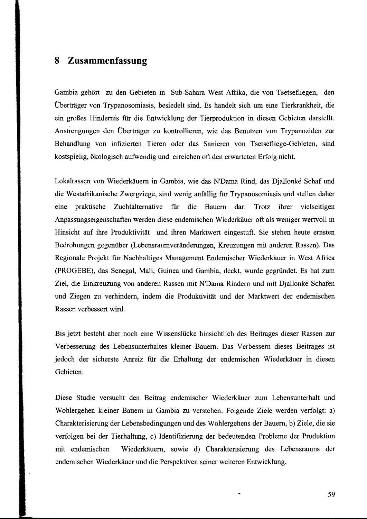#### **8 Zusammenfassung**

Gambia gehört zu den Gebieten in Sub-Sahara West Afrika, die von Tsetsefliegen, den Überträger von Trypanosomiasis, besiedelt sind. Es handelt sich um eine Tierkrankheit, die ein großes Hindernis für die Entwicklung der Tierproduktion in diesen Gebieten darstellt. Anstrengungen den Überträger zu kontrollieren, wie das Benutzen von Trypanoziden zur Behandlung von infizierten Tieren oder das Sanieren von Tsetsefliege-Gebieten, sind kostspielig, ökologisch aufwendig und erreichen oft den erwarteten Erfolg nicht.

Lokalrassen von Wiederkäuern in Gambia, wie das N'Dama Rind, das Djallonke Schaf und die Westafrikanische Zwergziege, sind wenig anfallig fiir Trypanosomiasis und stellen daher eme praktische Zuchtalternative fiir die Bauern dar. Trotz ihrer vielseitigen Anpassungseigenschaften werden diese endemischen Wiederkäuer oft als weniger wertvoll in Hinsicht auf ihre Produktivität und ihren Marktwert eingestuft. Sie stehen heute ernsten Bedrohungen gegenüber (Lebensraumveränderungen, Kreuzungen mit anderen Rassen). Das Regionale Projekt für Nachhaltiges Management Endemischer Wiederkäuer in West Africa (PROGEBE), das Senegal, Mali, Guinea und Gambia, deckt, wurde gegründet. Es hat zum Ziel, die Einkreuzung von anderen Rassen mit N'Dama Rindern und mit Djallonke Schafen und Ziegen zu verhindern, indem die Produktivität und der Marktwert der endemischen Rassen verbessert wird.

Bis jetzt besteht aber noch eine Wissenslücke hinsichtlich des Beitrages dieser Rassen zur Verbesserung des Lebensunterhaltes kleiner Bauern. Das Verbessern dieses Beitrages ist jedoch der sicherste Anreiz für die Erhaltung der endemischen Wiederkäuer in diesen Gebieten.

Diese Studie versucht den Beitrag endemischer Wiederkäuer zum Lebensunterhalt und Wohlergehen kleiner Bauern in Gambia zu verstehen. Folgende Ziele werden verfolgt: a) Charakterisierung der Lebensbedingungen und des Wohlergehens der Bauern, b) Ziele, die sie verfolgen bei der Tierhaltung, c) Identifizierung der bedeutenden Probleme der Produktion mit endemischen Wiederkäuern, sowie d) Charakterisierung des Lebensraums der endemischen Wiederkäuer und die Perspektiven seiner weiteren Entwicklung.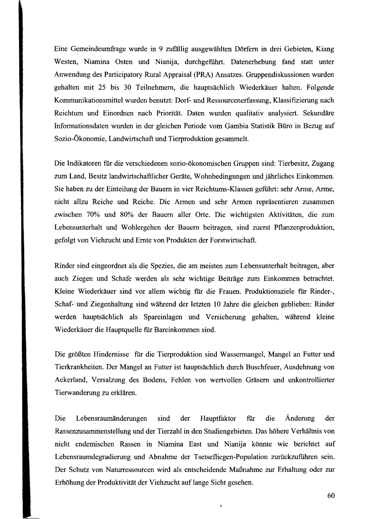Eine Gemeindeumfrage wurde in 9 zufallig ausgewählten Dörfern in drei Gebieten, Kiang Westen, Niamina Osten und Nianija, durchgeführt. Datenerhebung fand statt unter Anwendung des Participatory Rural Appraisal (PRA) Ansatzes. Gruppendiskussionen wurden gehalten mit 25 bis 30 Teilnehmern, die hauptsächlich Wiederkäuer halten. Folgende Kommunikationsmittel wurden benutzt: Dorf- und Ressourcenerfassung, Klassiftzierung nach Reichtum und Einordnen nach Priorität. Daten wurden qualitativ analysiert. Sekundäre Informationsdaten wurden in der gleichen Periode vom Gambia Statistik Büro in Bezug auf Sozio-Ökonomie, Landwirtschaft und Tierproduktion gesammelt.

Die Indikatoren für die verschiedenen sozio-ökonomischen Gruppen sind: Tierbesitz, Zugang zum Land, Besitz landwirtschaftlicher Geräte, Wohnbedingungen und jährliches Einkommen. Sie haben zu der Einteilung der Bauern in vier Reichtums-Klassen geführt: sehr Arme, Arme, nicht allzu Reiche und Reiche. Die Armen und sehr Armen repräsentieren zusammen zwischen 70% und 80% der Bauern aller Orte. Die wichtigsten Aktivitäten, die zum Lebensunterhalt und Wohlergehen der Bauern beitragen, sind zuerst Pflanzenproduktion, gefolgt von Viehzucht und Ernte von Produkten der Forstwirtschaft.

Rinder sind eingeordnet als die Spezies, die am meisten zum Lebensunterhalt beitragen, aber auch Ziegen und Schafe werden als sehr wichtige Beiträge zum Einkommen betrachtet. Kleine Wiederkäuer sind vor allem wichtig für die Frauen. Produktionsziele für Rinder-, Schaf- und Ziegenhaltung sind während der letzten 10 Jahre die gleichen geblieben: Rinder werden hauptsächlich als Spareinlagen und Versicherung gehalten, während kleine Wiederkäuer die Hauptquelle für Bareinkommen sind.

Die größten Hindernisse für die Tierproduktion sind Wassermangel, Mangel an Futter und Tierkrankheiten. Der Mangel an Futter ist hauptsächlich durch Buschfeuer, Ausdehnung von Ackerland, Versalzung des Bodens, Fehlen von wertvollen Gräsern und unkontrollierter Tierwanderung zu erklären.

Die Lebensraumänderungen sind der Hauptfaktor für die Änderung der Rassenzusammenstellung und der Tierzahl in den Studiengebieten. Das höhere Verhältnis von nicht endemischen Rassen in Niamina East und Nianija könnte wie berichtet auf Lebensraumdegradierung und Abnahme der Tsetsefliegen-Population zurückzuführen sein. Der Schutz von Naturressourcen wird als entscheidende Maßnahme zur Erhaltung oder zur Erhöhung der Produktivität der Viehzucht auf lange Sicht gesehen.

 $\hat{\mathbf{g}}$